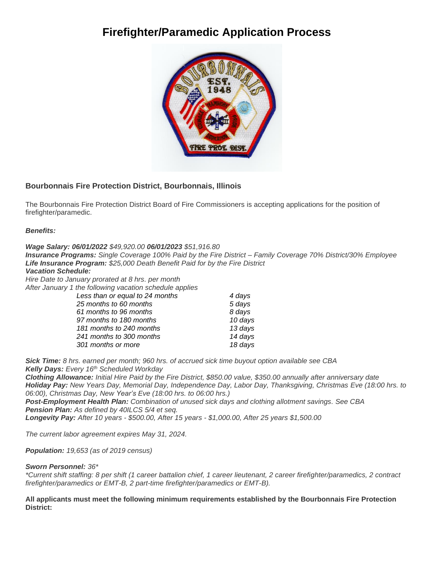# **Firefighter/Paramedic Application Process**



### **Bourbonnais Fire Protection District, Bourbonnais, Illinois**

The Bourbonnais Fire Protection District Board of Fire Commissioners is accepting applications for the position of firefighter/paramedic.

*Benefits:*

*Wage Salary: 06/01/2022 \$49,920.00 06/01/2023 \$51,916.80*

*Insurance Programs: Single Coverage 100% Paid by the Fire District – Family Coverage 70% District/30% Employee Life Insurance Program: \$25,000 Death Benefit Paid for by the Fire District Vacation Schedule:* 

*Hire Date to January prorated at 8 hrs. per month*

*After January 1 the following vacation schedule applies* 

| Less than or equal to 24 months | 4 days  |
|---------------------------------|---------|
| 25 months to 60 months          | 5 days  |
| 61 months to 96 months          | 8 days  |
| 97 months to 180 months         | 10 days |
| 181 months to 240 months        | 13 days |
| 241 months to 300 months        | 14 days |
| 301 months or more              | 18 days |

*Sick Time: 8 hrs. earned per month; 960 hrs. of accrued sick time buyout option available see CBA Kelly Days: Every 16th Scheduled Workday*

*Clothing Allowance: Initial Hire Paid by the Fire District, \$850.00 value, \$350.00 annually after anniversary date Holiday Pay: New Years Day, Memorial Day, Independence Day, Labor Day, Thanksgiving, Christmas Eve (18:00 hrs. to 06:00), Christmas Day, New Year's Eve (18:00 hrs. to 06:00 hrs.)*

*Post-Employment Health Plan: Combination of unused sick days and clothing allotment savings. See CBA Pension Plan: As defined by 40ILCS 5/4 et seq.* 

*Longevity Pay: After 10 years - \$500.00, After 15 years - \$1,000.00, After 25 years \$1,500.00* 

*The current labor agreement expires May 31, 2024.*

*Population: 19,653 (as of 2019 census)*

#### *Sworn Personnel: 36\**

*\*Current shift staffing: 8 per shift (1 career battalion chief, 1 career lieutenant, 2 career firefighter/paramedics, 2 contract firefighter/paramedics or EMT-B, 2 part-time firefighter/paramedics or EMT-B).*

**All applicants must meet the following minimum requirements established by the Bourbonnais Fire Protection District:**